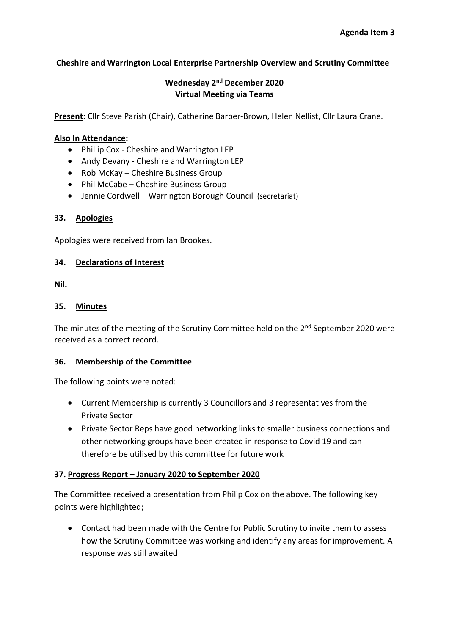## **Cheshire and Warrington Local Enterprise Partnership Overview and Scrutiny Committee**

## **Wednesday 2<sup>nd</sup> December 2020 Virtual Meeting via Teams**

**Present:** Cllr Steve Parish (Chair), Catherine Barber-Brown, Helen Nellist, Cllr Laura Crane.

#### **Also In Attendance:**

- Phillip Cox Cheshire and Warrington LEP
- Andy Devany Cheshire and Warrington LEP
- Rob McKay Cheshire Business Group
- Phil McCabe Cheshire Business Group
- Jennie Cordwell Warrington Borough Council (secretariat)

#### **33. Apologies**

Apologies were received from Ian Brookes.

### **34. Declarations of Interest**

**Nil.** 

### **35. Minutes**

The minutes of the meeting of the Scrutiny Committee held on the 2<sup>nd</sup> September 2020 were received as a correct record.

#### **36. Membership of the Committee**

The following points were noted:

- Current Membership is currently 3 Councillors and 3 representatives from the Private Sector
- Private Sector Reps have good networking links to smaller business connections and other networking groups have been created in response to Covid 19 and can therefore be utilised by this committee for future work

#### **37. Progress Report – January 2020 to September 2020**

The Committee received a presentation from Philip Cox on the above. The following key points were highlighted;

• Contact had been made with the Centre for Public Scrutiny to invite them to assess how the Scrutiny Committee was working and identify any areas for improvement. A response was still awaited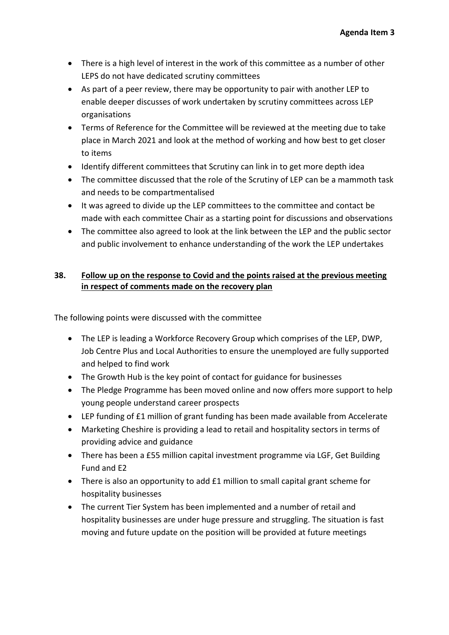- There is a high level of interest in the work of this committee as a number of other LEPS do not have dedicated scrutiny committees
- As part of a peer review, there may be opportunity to pair with another LEP to enable deeper discusses of work undertaken by scrutiny committees across LEP organisations
- Terms of Reference for the Committee will be reviewed at the meeting due to take place in March 2021 and look at the method of working and how best to get closer to items
- Identify different committees that Scrutiny can link in to get more depth idea
- The committee discussed that the role of the Scrutiny of LEP can be a mammoth task and needs to be compartmentalised
- It was agreed to divide up the LEP committees to the committee and contact be made with each committee Chair as a starting point for discussions and observations
- The committee also agreed to look at the link between the LEP and the public sector and public involvement to enhance understanding of the work the LEP undertakes

# **38. Follow up on the response to Covid and the points raised at the previous meeting in respect of comments made on the recovery plan**

The following points were discussed with the committee

- The LEP is leading a Workforce Recovery Group which comprises of the LEP, DWP, Job Centre Plus and Local Authorities to ensure the unemployed are fully supported and helped to find work
- The Growth Hub is the key point of contact for guidance for businesses
- The Pledge Programme has been moved online and now offers more support to help young people understand career prospects
- LEP funding of £1 million of grant funding has been made available from Accelerate
- Marketing Cheshire is providing a lead to retail and hospitality sectors in terms of providing advice and guidance
- There has been a £55 million capital investment programme via LGF, Get Building Fund and E2
- There is also an opportunity to add £1 million to small capital grant scheme for hospitality businesses
- The current Tier System has been implemented and a number of retail and hospitality businesses are under huge pressure and struggling. The situation is fast moving and future update on the position will be provided at future meetings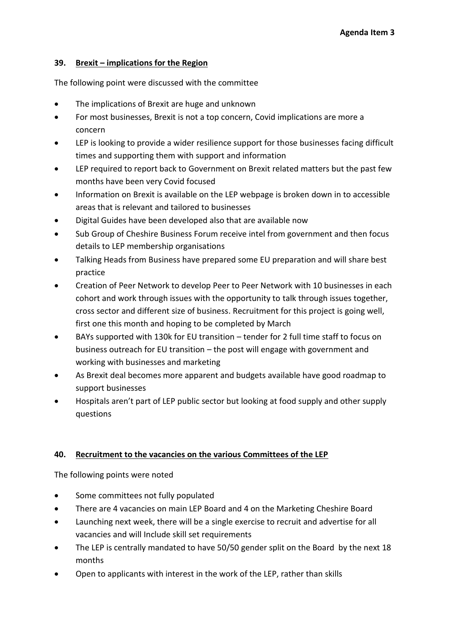## **39. Brexit – implications for the Region**

The following point were discussed with the committee

- The implications of Brexit are huge and unknown
- For most businesses, Brexit is not a top concern, Covid implications are more a concern
- LEP is looking to provide a wider resilience support for those businesses facing difficult times and supporting them with support and information
- LEP required to report back to Government on Brexit related matters but the past few months have been very Covid focused
- Information on Brexit is available on the LEP webpage is broken down in to accessible areas that is relevant and tailored to businesses
- Digital Guides have been developed also that are available now
- Sub Group of Cheshire Business Forum receive intel from government and then focus details to LEP membership organisations
- Talking Heads from Business have prepared some EU preparation and will share best practice
- Creation of Peer Network to develop Peer to Peer Network with 10 businesses in each cohort and work through issues with the opportunity to talk through issues together, cross sector and different size of business. Recruitment for this project is going well, first one this month and hoping to be completed by March
- BAYs supported with 130k for EU transition tender for 2 full time staff to focus on business outreach for EU transition – the post will engage with government and working with businesses and marketing
- As Brexit deal becomes more apparent and budgets available have good roadmap to support businesses
- Hospitals aren't part of LEP public sector but looking at food supply and other supply questions

# **40. Recruitment to the vacancies on the various Committees of the LEP**

The following points were noted

- Some committees not fully populated
- There are 4 vacancies on main LEP Board and 4 on the Marketing Cheshire Board
- Launching next week, there will be a single exercise to recruit and advertise for all vacancies and will Include skill set requirements
- The LEP is centrally mandated to have 50/50 gender split on the Board by the next 18 months
- Open to applicants with interest in the work of the LEP, rather than skills